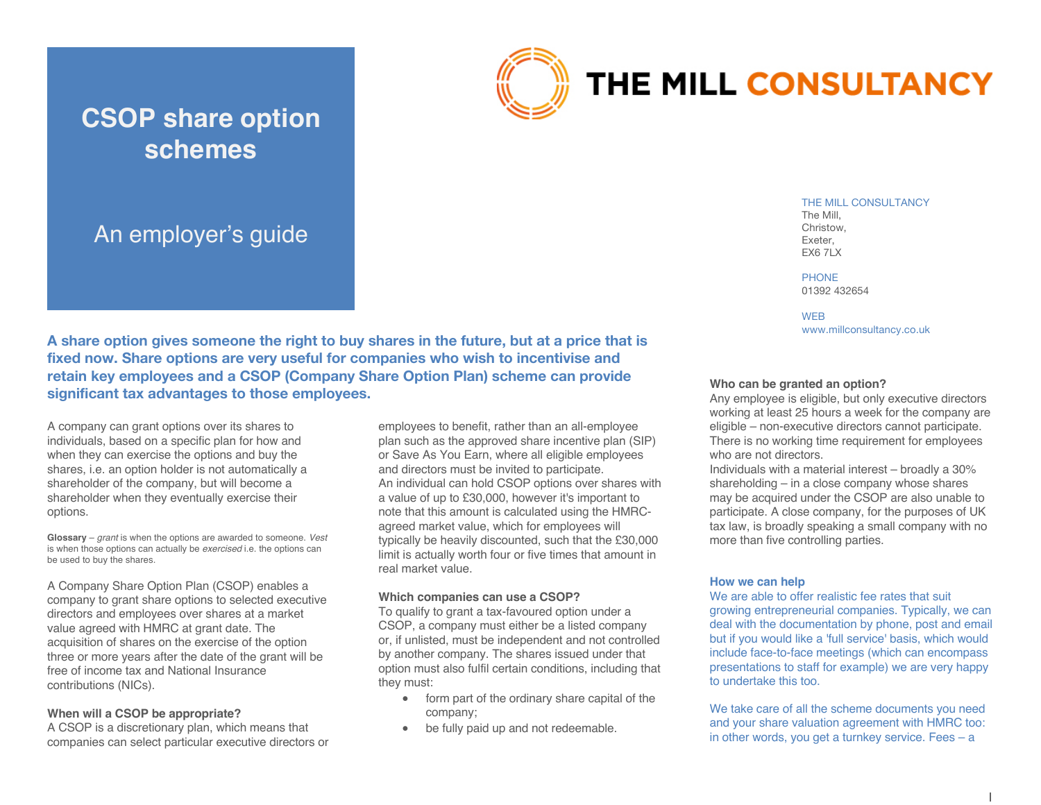

# THE MILL CONSULTANCY

# An employer's guide

**CSOP share option** 

**schemes**

THE MILL CONSULTANCY

The Mill, Christow, Exeter, **EX6 7LX** 

PHONE 01392 432654

**WEB** www.millconsultancy.co.uk

**A share option gives someone the right to buy shares in the future, but at a price that is fixed now. Share options are very useful for companies who wish to incentivise and retain key employees and a CSOP (Company Share Option Plan) scheme can provide significant tax advantages to those employees.** 

A company can grant options over its shares to individuals, based on a specific plan for how and when they can exercise the options and buy the shares, i.e. an option holder is not automatically a shareholder of the company, but will become a shareholder when they eventually exercise their options.

**Glossary** – *grant* is when the options are awarded to someone. *Vest*  is when those options can actually be *exercised* i.e. the options can be used to buy the shares.

A Company Share Option Plan (CSOP) enables a company to grant share options to selected executive directors and employees over shares at a market value agreed with HMRC at grant date. The acquisition of shares on the exercise of the option three or more years after the date of the grant will be free of income tax and National Insurance contributions (NICs).

# **When will a CSOP be appropriate?**

A CSOP is a discretionary plan, which means that companies can select particular executive directors or employees to benefit, rather than an all-employee plan such as the approved share incentive plan (SIP) or Save As You Earn, where all eligible employees and directors must be invited to participate. An individual can hold CSOP options over shares with a value of up to £30,000, however it's important to note that this amount is calculated using the HMRCagreed market value, which for employees will typically be heavily discounted, such that the £30,000 limit is actually worth four or five times that amount in real market value.

#### **Which companies can use a CSOP?**

To qualify to grant a tax-favoured option under a CSOP, a company must either be a listed company or, if unlisted, must be independent and not controlled by another company. The shares issued under that option must also fulfil certain conditions, including that they must:

- form part of the ordinary share capital of the company;
- be fully paid up and not redeemable.

# **Who can be granted an option?**

Any employee is eligible, but only executive directors working at least 25 hours a week for the company are eligible – non-executive directors cannot participate. There is no working time requirement for employees who are not directors.

Individuals with a material interest – broadly a 30% shareholding – in a close company whose shares may be acquired under the CSOP are also unable to participate. A close company, for the purposes of UK tax law, is broadly speaking a small company with no more than five controlling parties.

# **How we can help**

We are able to offer realistic fee rates that suit growing entrepreneurial companies. Typically, we can deal with the documentation by phone, post and email but if you would like a 'full service' basis, which would include face-to-face meetings (which can encompass presentations to staff for example) we are very happy to undertake this too.

We take care of all the scheme documents you need and your share valuation agreement with HMRC too: in other words, you get a turnkey service. Fees – a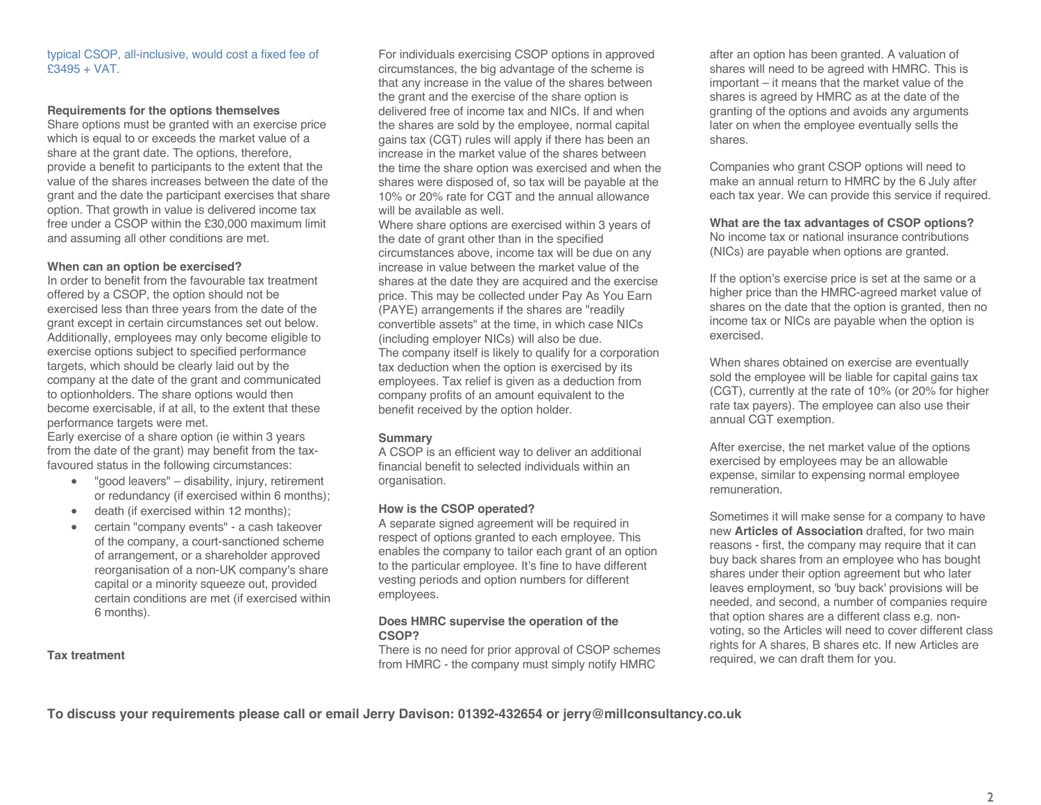#### typical CSOP, all-inclusive, would cost a fixed fee of £3495 + VAT.

#### **Requirements for the options themselves**

Share options must be granted with an exercise price which is equal to or exceeds the market value of a share at the grant date. The options, therefore, provide a benefit to participants to the extent that the value of the shares increases between the date of the grant and the date the participant exercises that share option. That growth in value is delivered income tax free under a CSOP within the £30,000 maximum limit and assuming all other conditions are met.

#### **When can an option be exercised?**

In order to benefit from the favourable tax treatment offered by a CSOP, the option should not be exercised less than three years from the date of the grant except in certain circumstances set out below. Additionally, employees may only become eligible to exercise options subject to specified performance targets, which should be clearly laid out by the company at the date of the grant and communicated to optionholders. The share options would then become exercisable, if at all, to the extent that these performance targets were met.

Early exercise of a share option (ie within 3 years from the date of the grant) may benefit from the taxfavoured status in the following circumstances:

- "good leavers" disability, injury, retirement or redundancy (if exercised within 6 months);
- death (if exercised within 12 months);
- certain "company events" a cash takeover of the company, a court-sanctioned scheme of arrangement, or a shareholder approved reorganisation of a non-UK company's share capital or a minority squeeze out, provided certain conditions are met (if exercised within 6 months).

**Tax treatment**

For individuals exercising CSOP options in approved circumstances, the big advantage of the scheme is that any increase in the value of the shares between the grant and the exercise of the share option is delivered free of income tax and NICs. If and when the shares are sold by the employee, normal capital gains tax (CGT) rules will apply if there has been an increase in the market value of the shares between the time the share option was exercised and when the shares were disposed of, so tax will be payable at the 10% or 20% rate for CGT and the annual allowance will be available as well.

Where share options are exercised within 3 years of the date of grant other than in the specified circumstances above, income tax will be due on any increase in value between the market value of the shares at the date they are acquired and the exercise price. This may be collected under Pay As You Earn (PAYE) arrangements if the shares are "readily convertible assets" at the time, in which case NICs (including employer NICs) will also be due. The company itself is likely to qualify for a corporation tax deduction when the option is exercised by its employees. Tax relief is given as a deduction from company profits of an amount equivalent to the benefit received by the option holder.

#### **Summary**

A CSOP is an efficient way to deliver an additional financial benefit to selected individuals within an organisation.

#### **How is the CSOP operated?**

A separate signed agreement will be required in respect of options granted to each employee. This enables the company to tailor each grant of an option to the particular employee. It's fine to have different vesting periods and option numbers for different employees.

#### **Does HMRC supervise the operation of the CSOP?**

There is no need for prior approval of CSOP schemes from HMRC - the company must simply notify HMRC

after an option has been granted. A valuation of shares will need to be agreed with HMRC. This is important – it means that the market value of the shares is agreed by HMRC as at the date of the granting of the options and avoids any arguments later on when the employee eventually sells the shares.

Companies who grant CSOP options will need to make an annual return to HMRC by the 6 July after each tax year. We can provide this service if required.

**What are the tax advantages of CSOP options?** No income tax or national insurance contributions (NICs) are payable when options are granted.

If the option's exercise price is set at the same or a higher price than the HMRC-agreed market value of shares on the date that the option is granted, then no income tax or NICs are payable when the option is exercised.

When shares obtained on exercise are eventually sold the employee will be liable for capital gains tax (CGT), currently at the rate of 10% (or 20% for higher rate tax payers). The employee can also use their annual CGT exemption.

After exercise, the net market value of the options exercised by employees may be an allowable expense, similar to expensing normal employee remuneration.

Sometimes it will make sense for a company to have new **Articles of Association** drafted, for two main reasons - first, the company may require that it can buy back shares from an employee who has bought shares under their option agreement but who later leaves employment, so 'buy back' provisions will be needed, and second, a number of companies require that option shares are a different class e.g. nonvoting, so the Articles will need to cover different class rights for A shares, B shares etc. If new Articles are required, we can draft them for you.

**To discuss your requirements please call or email Jerry Davison: 01392-432654 or jerry@millconsultancy.co.uk**